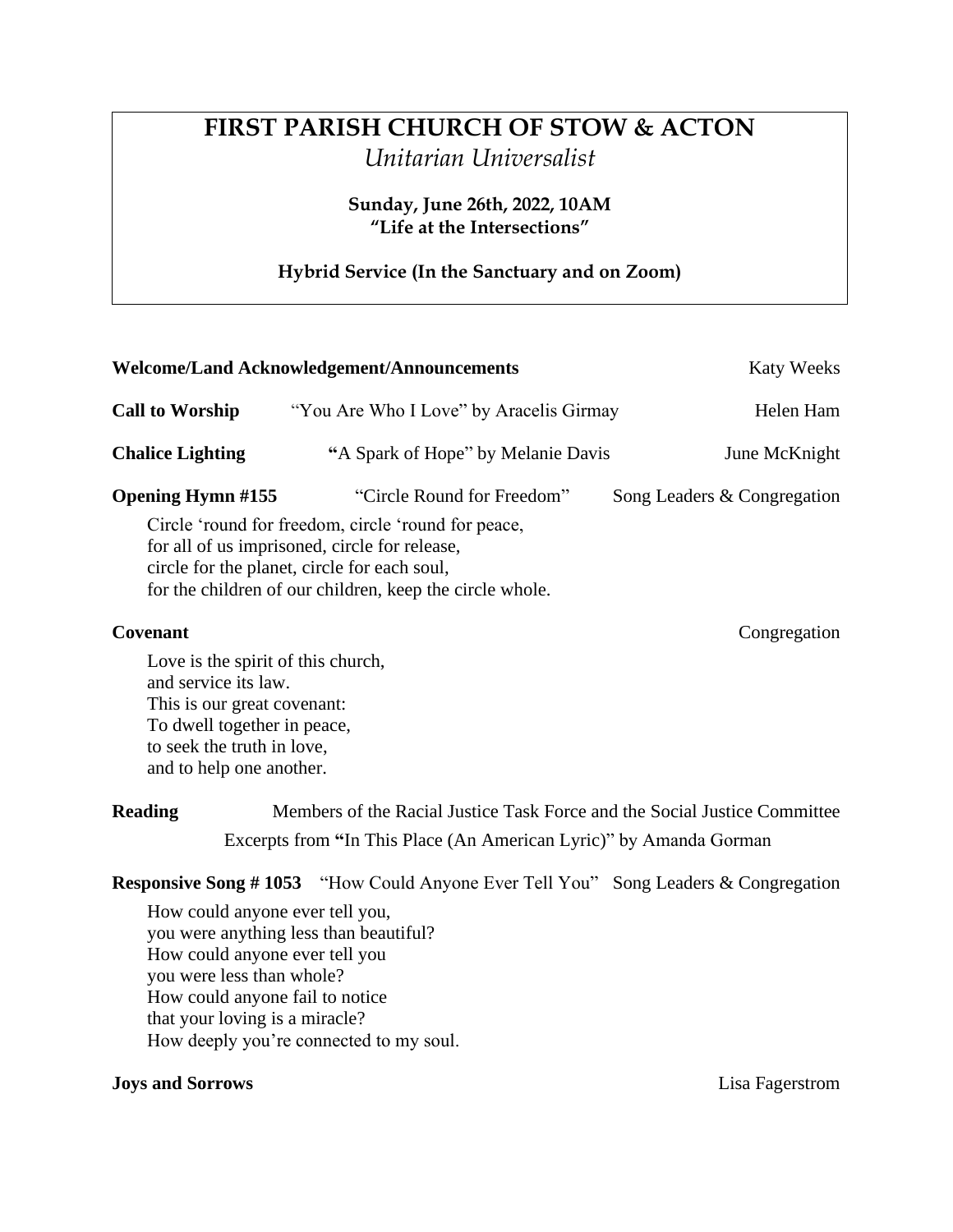# **FIRST PARISH CHURCH OF STOW & ACTON** *Unitarian Universalist*

**Sunday, June 26th, 2022, 10AM "Life at the Intersections"**

## **Hybrid Service (In the Sanctuary and on Zoom)**

| <b>Welcome/Land Acknowledgement/Announcements</b> | Katy Weeks                                                                                                                                                                                                       |                             |
|---------------------------------------------------|------------------------------------------------------------------------------------------------------------------------------------------------------------------------------------------------------------------|-----------------------------|
| <b>Call to Worship</b>                            | "You Are Who I Love" by Aracelis Girmay"                                                                                                                                                                         | Helen Ham                   |
| <b>Chalice Lighting</b>                           | "A Spark of Hope" by Melanie Davis                                                                                                                                                                               | June McKnight               |
| <b>Opening Hymn #155</b>                          | "Circle Round for Freedom"                                                                                                                                                                                       | Song Leaders & Congregation |
|                                                   | Circle 'round for freedom, circle 'round for peace,<br>for all of us imprisoned, circle for release,<br>circle for the planet, circle for each soul,<br>for the children of our children, keep the circle whole. |                             |
| <b>Covenant</b>                                   |                                                                                                                                                                                                                  | Congregation                |

Love is the spirit of this church, and service its law. This is our great covenant: To dwell together in peace, to seek the truth in love, and to help one another.

**Reading** Members of the Racial Justice Task Force and the Social Justice Committee Excerpts from **"**In This Place (An American Lyric)" by Amanda Gorman

**Responsive Song # 1053** "How Could Anyone Ever Tell You" Song Leaders & Congregation

How could anyone ever tell you, you were anything less than beautiful? How could anyone ever tell you you were less than whole? How could anyone fail to notice that your loving is a miracle? How deeply you're connected to my soul.

### **Joys and Sorrows** Lisa Fagerstrom Lisa Fagerstrom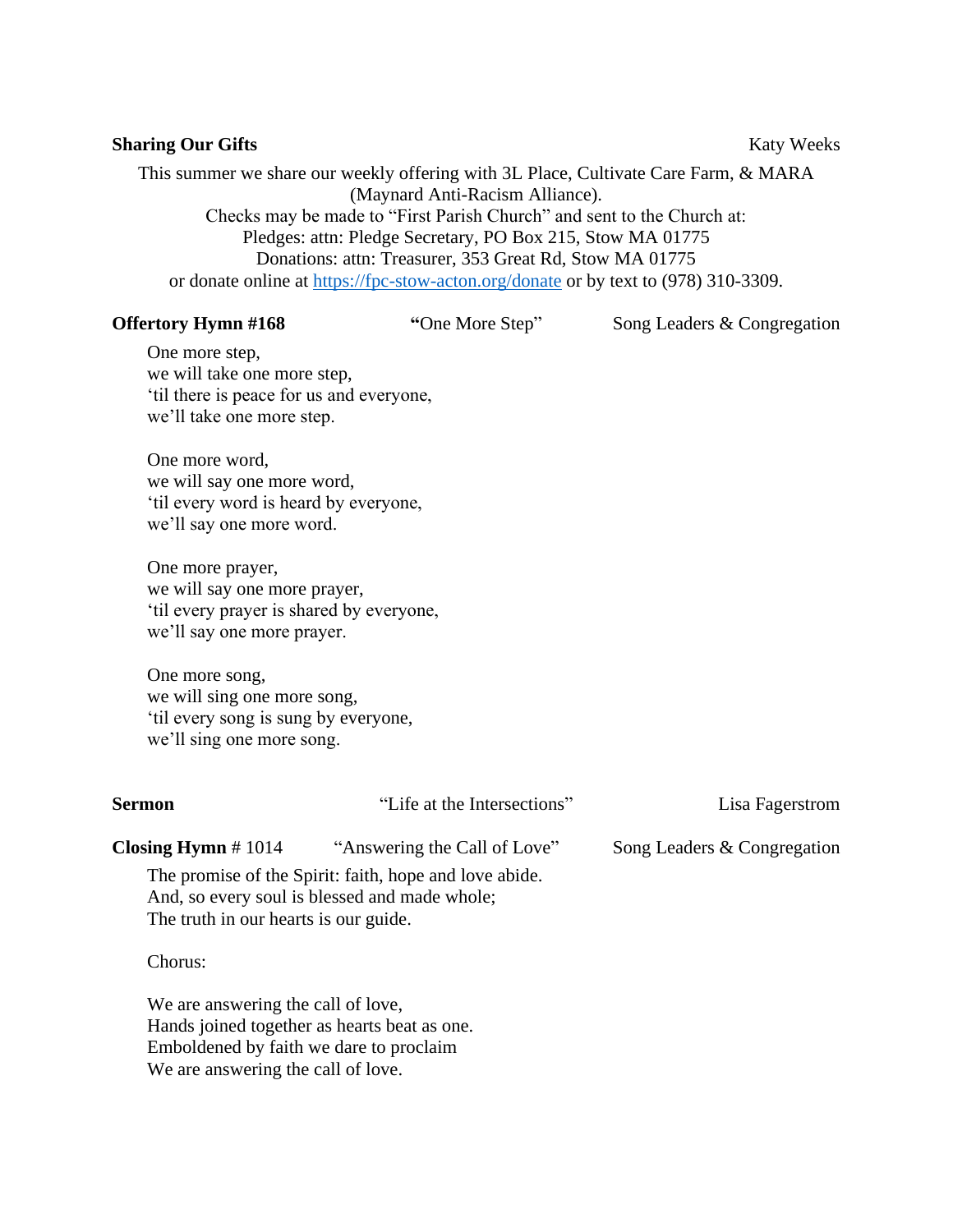### **Sharing Our Gifts** Katy Weeks

This summer we share our weekly offering with 3L Place, Cultivate Care Farm, & MARA (Maynard Anti-Racism Alliance).

Checks may be made to "First Parish Church" and sent to the Church at: Pledges: attn: Pledge Secretary, PO Box 215, Stow MA 01775 Donations: attn: Treasurer, 353 Great Rd, Stow MA 01775 or donate online at<https://fpc-stow-acton.org/donate> or by text to (978) 310-3309.

**Offertory Hymn #168** "One More Step" Song Leaders & Congregation

One more step, we will take one more step, 'til there is peace for us and everyone, we'll take one more step.

One more word, we will say one more word, 'til every word is heard by everyone, we'll say one more word.

One more prayer, we will say one more prayer, 'til every prayer is shared by everyone, we'll say one more prayer.

One more song, we will sing one more song, 'til every song is sung by everyone, we'll sing one more song.

| Sermon                                  | "Life at the Intersections"                                                                             | Lisa Fagerstrom             |
|-----------------------------------------|---------------------------------------------------------------------------------------------------------|-----------------------------|
| Closing Hymn $# 1014$                   | "Answering the Call of Love"                                                                            | Song Leaders & Congregation |
| The truth in our hearts is our guide.   | The promise of the Spirit: faith, hope and love abide.<br>And, so every soul is blessed and made whole; |                             |
| Chorus:                                 |                                                                                                         |                             |
| We are answering the call of love,      |                                                                                                         |                             |
|                                         | Hands joined together as hearts beat as one.                                                            |                             |
| Emboldened by faith we dare to proclaim |                                                                                                         |                             |

We are answering the call of love.